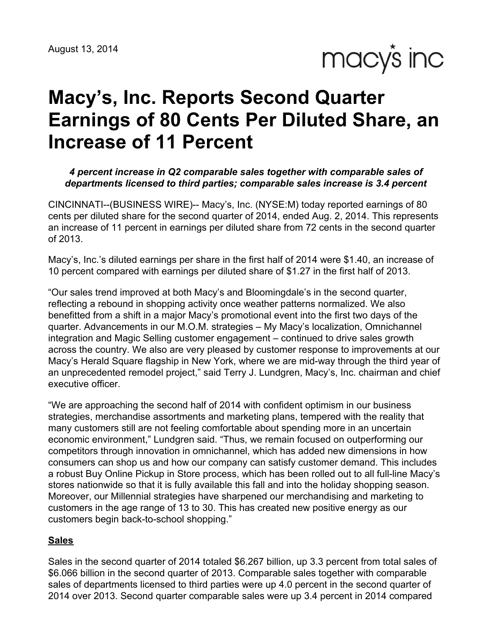macy's inc

# **Macy's, Inc. Reports Second Quarter Earnings of 80 Cents Per Diluted Share, an Increase of 11 Percent**

*4 percent increase in Q2 comparable sales together with comparable sales of departments licensed to third parties; comparable sales increase is 3.4 percent*

CINCINNATI--(BUSINESS WIRE)-- Macy's, Inc. (NYSE:M) today reported earnings of 80 cents per diluted share for the second quarter of 2014, ended Aug. 2, 2014. This represents an increase of 11 percent in earnings per diluted share from 72 cents in the second quarter of 2013.

Macy's, Inc.'s diluted earnings per share in the first half of 2014 were \$1.40, an increase of 10 percent compared with earnings per diluted share of \$1.27 in the first half of 2013.

"Our sales trend improved at both Macy's and Bloomingdale's in the second quarter, reflecting a rebound in shopping activity once weather patterns normalized. We also benefitted from a shift in a major Macy's promotional event into the first two days of the quarter. Advancements in our M.O.M. strategies – My Macy's localization, Omnichannel integration and Magic Selling customer engagement – continued to drive sales growth across the country. We also are very pleased by customer response to improvements at our Macy's Herald Square flagship in New York, where we are mid-way through the third year of an unprecedented remodel project," said Terry J. Lundgren, Macy's, Inc. chairman and chief executive officer.

"We are approaching the second half of 2014 with confident optimism in our business strategies, merchandise assortments and marketing plans, tempered with the reality that many customers still are not feeling comfortable about spending more in an uncertain economic environment," Lundgren said. "Thus, we remain focused on outperforming our competitors through innovation in omnichannel, which has added new dimensions in how consumers can shop us and how our company can satisfy customer demand. This includes a robust Buy Online Pickup in Store process, which has been rolled out to all full-line Macy's stores nationwide so that it is fully available this fall and into the holiday shopping season. Moreover, our Millennial strategies have sharpened our merchandising and marketing to customers in the age range of 13 to 30. This has created new positive energy as our customers begin back-to-school shopping."

#### **Sales**

Sales in the second quarter of 2014 totaled \$6.267 billion, up 3.3 percent from total sales of \$6.066 billion in the second quarter of 2013. Comparable sales together with comparable sales of departments licensed to third parties were up 4.0 percent in the second quarter of 2014 over 2013. Second quarter comparable sales were up 3.4 percent in 2014 compared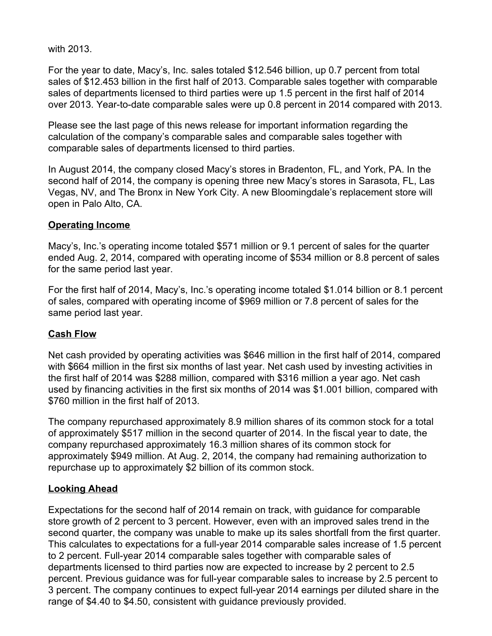with 2013.

For the year to date, Macy's, Inc. sales totaled \$12.546 billion, up 0.7 percent from total sales of \$12.453 billion in the first half of 2013. Comparable sales together with comparable sales of departments licensed to third parties were up 1.5 percent in the first half of 2014 over 2013. Year-to-date comparable sales were up 0.8 percent in 2014 compared with 2013.

Please see the last page of this news release for important information regarding the calculation of the company's comparable sales and comparable sales together with comparable sales of departments licensed to third parties.

In August 2014, the company closed Macy's stores in Bradenton, FL, and York, PA. In the second half of 2014, the company is opening three new Macy's stores in Sarasota, FL, Las Vegas, NV, and The Bronx in New York City. A new Bloomingdale's replacement store will open in Palo Alto, CA.

#### **Operating Income**

Macy's, Inc.'s operating income totaled \$571 million or 9.1 percent of sales for the quarter ended Aug. 2, 2014, compared with operating income of \$534 million or 8.8 percent of sales for the same period last year.

For the first half of 2014, Macy's, Inc.'s operating income totaled \$1.014 billion or 8.1 percent of sales, compared with operating income of \$969 million or 7.8 percent of sales for the same period last year.

#### **Cash Flow**

Net cash provided by operating activities was \$646 million in the first half of 2014, compared with \$664 million in the first six months of last year. Net cash used by investing activities in the first half of 2014 was \$288 million, compared with \$316 million a year ago. Net cash used by financing activities in the first six months of 2014 was \$1.001 billion, compared with \$760 million in the first half of 2013.

The company repurchased approximately 8.9 million shares of its common stock for a total of approximately \$517 million in the second quarter of 2014. In the fiscal year to date, the company repurchased approximately 16.3 million shares of its common stock for approximately \$949 million. At Aug. 2, 2014, the company had remaining authorization to repurchase up to approximately \$2 billion of its common stock.

#### **Looking Ahead**

Expectations for the second half of 2014 remain on track, with guidance for comparable store growth of 2 percent to 3 percent. However, even with an improved sales trend in the second quarter, the company was unable to make up its sales shortfall from the first quarter. This calculates to expectations for a full-year 2014 comparable sales increase of 1.5 percent to 2 percent. Full-year 2014 comparable sales together with comparable sales of departments licensed to third parties now are expected to increase by 2 percent to 2.5 percent. Previous guidance was for full-year comparable sales to increase by 2.5 percent to 3 percent. The company continues to expect full-year 2014 earnings per diluted share in the range of \$4.40 to \$4.50, consistent with guidance previously provided.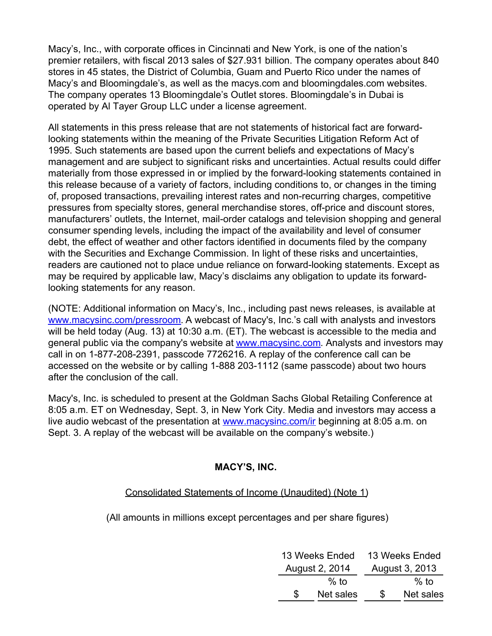Macy's, Inc., with corporate offices in Cincinnati and New York, is one of the nation's premier retailers, with fiscal 2013 sales of \$27.931 billion. The company operates about 840 stores in 45 states, the District of Columbia, Guam and Puerto Rico under the names of Macy's and Bloomingdale's, as well as the macys.com and bloomingdales.com websites. The company operates 13 Bloomingdale's Outlet stores. Bloomingdale's in Dubai is operated by Al Tayer Group LLC under a license agreement.

All statements in this press release that are not statements of historical fact are forwardlooking statements within the meaning of the Private Securities Litigation Reform Act of 1995. Such statements are based upon the current beliefs and expectations of Macy's management and are subject to significant risks and uncertainties. Actual results could differ materially from those expressed in or implied by the forward-looking statements contained in this release because of a variety of factors, including conditions to, or changes in the timing of, proposed transactions, prevailing interest rates and non-recurring charges, competitive pressures from specialty stores, general merchandise stores, off-price and discount stores, manufacturers' outlets, the Internet, mail-order catalogs and television shopping and general consumer spending levels, including the impact of the availability and level of consumer debt, the effect of weather and other factors identified in documents filed by the company with the Securities and Exchange Commission. In light of these risks and uncertainties, readers are cautioned not to place undue reliance on forward-looking statements. Except as may be required by applicable law, Macy's disclaims any obligation to update its forwardlooking statements for any reason.

(NOTE: Additional information on Macy's, Inc., including past news releases, is available at [www.macysinc.com/pressroom](http://www.macysinc.com/pressroom). A webcast of Macy's, Inc.'s call with analysts and investors will be held today (Aug. 13) at 10:30 a.m. (ET). The webcast is accessible to the media and general public via the company's website at [www.macysinc.com](http://www.macysinc.com). Analysts and investors may call in on 1-877-208-2391, passcode 7726216. A replay of the conference call can be accessed on the website or by calling 1-888 203-1112 (same passcode) about two hours after the conclusion of the call.

Macy's, Inc. is scheduled to present at the Goldman Sachs Global Retailing Conference at 8:05 a.m. ET on Wednesday, Sept. 3, in New York City. Media and investors may access a live audio webcast of the presentation at [www.macysinc.com/ir](http://www.macysinc.com/ir) beginning at 8:05 a.m. on Sept. 3. A replay of the webcast will be available on the company's website.)

#### **MACY'S, INC.**

#### Consolidated Statements of Income (Unaudited) (Note 1)

(All amounts in millions except percentages and per share figures)

|     | 13 Weeks Ended | 13 Weeks Ended |                |  |  |
|-----|----------------|----------------|----------------|--|--|
|     | August 2, 2014 |                | August 3, 2013 |  |  |
|     | $%$ to         |                | $%$ to         |  |  |
| \$. | Net sales      | S              | Net sales      |  |  |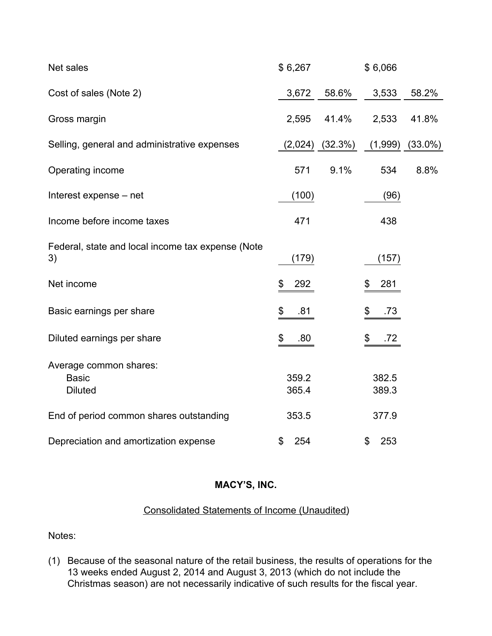| Net sales                                                | \$6,267        |         | \$6,066        |            |
|----------------------------------------------------------|----------------|---------|----------------|------------|
| Cost of sales (Note 2)                                   | 3,672          | 58.6%   | 3,533          | 58.2%      |
| Gross margin                                             | 2,595          | 41.4%   | 2,533          | 41.8%      |
| Selling, general and administrative expenses             | (2,024)        | (32.3%) | (1,999)        | $(33.0\%)$ |
| Operating income                                         | 571            | 9.1%    | 534            | 8.8%       |
| Interest expense - net                                   | (100)          |         | (96)           |            |
| Income before income taxes                               | 471            |         | 438            |            |
| Federal, state and local income tax expense (Note<br>3)  | (179)          |         | (157)          |            |
| Net income                                               | \$<br>292      |         | 281<br>\$      |            |
| Basic earnings per share                                 | \$<br>.81      |         | \$<br>.73      |            |
| Diluted earnings per share                               | \$<br>.80      |         | \$<br>.72      |            |
| Average common shares:<br><b>Basic</b><br><b>Diluted</b> | 359.2<br>365.4 |         | 382.5<br>389.3 |            |
| End of period common shares outstanding                  | 353.5          |         | 377.9          |            |
| Depreciation and amortization expense                    | \$<br>254      |         | \$<br>253      |            |

#### Consolidated Statements of Income (Unaudited)

Notes:

(1) Because of the seasonal nature of the retail business, the results of operations for the 13 weeks ended August 2, 2014 and August 3, 2013 (which do not include the Christmas season) are not necessarily indicative of such results for the fiscal year.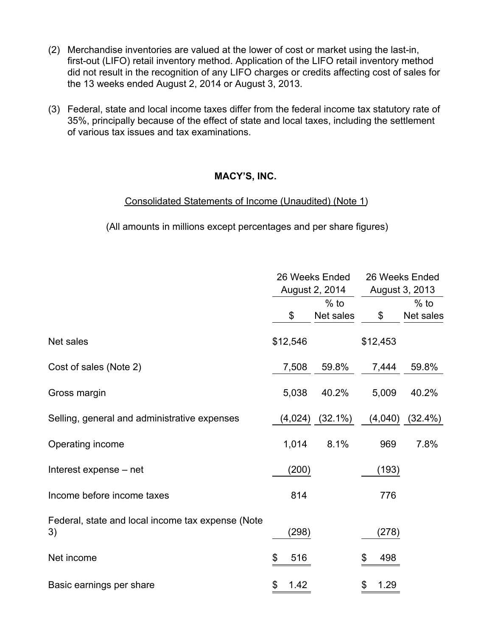- (2) Merchandise inventories are valued at the lower of cost or market using the last-in, first-out (LIFO) retail inventory method. Application of the LIFO retail inventory method did not result in the recognition of any LIFO charges or credits affecting cost of sales for the 13 weeks ended August 2, 2014 or August 3, 2013.
- (3) Federal, state and local income taxes differ from the federal income tax statutory rate of 35%, principally because of the effect of state and local taxes, including the settlement of various tax issues and tax examinations.

#### Consolidated Statements of Income (Unaudited) (Note 1)

(All amounts in millions except percentages and per share figures)

|                                                         |            | 26 Weeks Ended | 26 Weeks Ended |            |  |  |
|---------------------------------------------------------|------------|----------------|----------------|------------|--|--|
|                                                         |            | August 2, 2014 | August 3, 2013 |            |  |  |
|                                                         |            | $%$ to         |                | $%$ to     |  |  |
|                                                         | \$         | Net sales      | \$             | Net sales  |  |  |
| Net sales                                               | \$12,546   |                | \$12,453       |            |  |  |
| Cost of sales (Note 2)                                  | 7,508      | 59.8%          | 7,444          | 59.8%      |  |  |
| Gross margin                                            | 5,038      | 40.2%          | 5,009          | 40.2%      |  |  |
| Selling, general and administrative expenses            | (4,024)    | $(32.1\%)$     | (4,040)        | $(32.4\%)$ |  |  |
| Operating income                                        | 1,014      | 8.1%           | 969            | 7.8%       |  |  |
| Interest expense - net                                  | (200)      |                | (193)          |            |  |  |
| Income before income taxes                              | 814        |                | 776            |            |  |  |
| Federal, state and local income tax expense (Note<br>3) | (298)      |                | (278)          |            |  |  |
| Net income                                              | \$<br>516  |                | \$<br>498      |            |  |  |
| Basic earnings per share                                | \$<br>1.42 |                | \$<br>1.29     |            |  |  |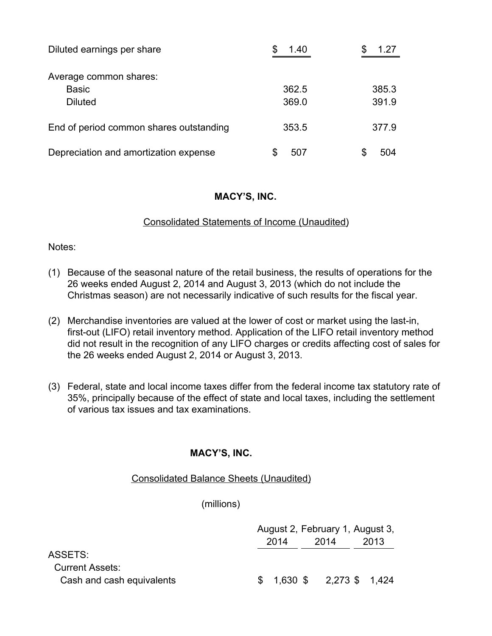| Diluted earnings per share              | 1.40      | 1.27  |
|-----------------------------------------|-----------|-------|
| Average common shares:                  |           |       |
| <b>Basic</b>                            | 362.5     | 385.3 |
| <b>Diluted</b>                          | 369.0     | 391.9 |
| End of period common shares outstanding | 353.5     | 377.9 |
| Depreciation and amortization expense   | \$<br>507 | 504   |

#### Consolidated Statements of Income (Unaudited)

Notes:

- (1) Because of the seasonal nature of the retail business, the results of operations for the 26 weeks ended August 2, 2014 and August 3, 2013 (which do not include the Christmas season) are not necessarily indicative of such results for the fiscal year.
- (2) Merchandise inventories are valued at the lower of cost or market using the last-in, first-out (LIFO) retail inventory method. Application of the LIFO retail inventory method did not result in the recognition of any LIFO charges or credits affecting cost of sales for the 26 weeks ended August 2, 2014 or August 3, 2013.
- (3) Federal, state and local income taxes differ from the federal income tax statutory rate of 35%, principally because of the effect of state and local taxes, including the settlement of various tax issues and tax examinations.

#### **MACY'S, INC.**

#### Consolidated Balance Sheets (Unaudited)

#### (millions)

|                           | August 2, February 1, August 3, |      |  |  |      |
|---------------------------|---------------------------------|------|--|--|------|
|                           | 2014                            | 2014 |  |  | 2013 |
| ASSETS:                   |                                 |      |  |  |      |
| <b>Current Assets:</b>    |                                 |      |  |  |      |
| Cash and cash equivalents | $$1,630$ $$2,273$ $$1,424$      |      |  |  |      |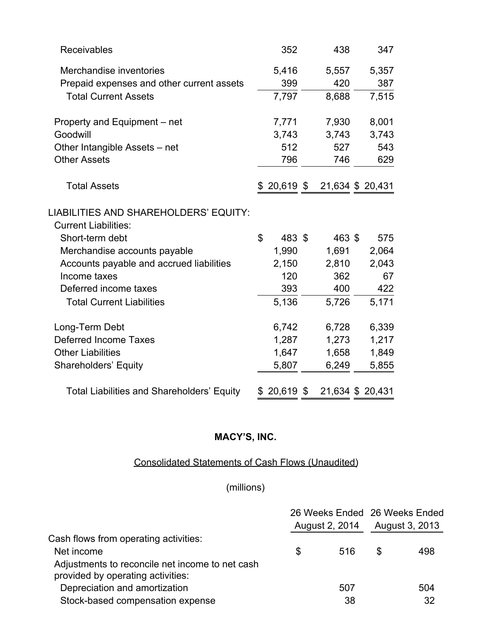| <b>Receivables</b>                                | 352          | 438    | 347              |
|---------------------------------------------------|--------------|--------|------------------|
| Merchandise inventories                           | 5,416        | 5,557  | 5,357            |
| Prepaid expenses and other current assets         | 399          | 420    | 387              |
| <b>Total Current Assets</b>                       | 7,797        | 8,688  | 7,515            |
| Property and Equipment – net                      | 7,771        | 7,930  | 8,001            |
| Goodwill                                          | 3,743        | 3,743  | 3,743            |
| Other Intangible Assets - net                     | 512          | 527    | 543              |
| <b>Other Assets</b>                               | 796          | 746    | 629              |
| <b>Total Assets</b>                               | $$20,619$ \$ |        | 21,634 \$ 20,431 |
| LIABILITIES AND SHAREHOLDERS' EQUITY:             |              |        |                  |
| <b>Current Liabilities:</b>                       |              |        |                  |
| Short-term debt                                   | \$<br>483 \$ | 463 \$ | 575              |
| Merchandise accounts payable                      | 1,990        | 1,691  | 2,064            |
| Accounts payable and accrued liabilities          | 2,150        | 2,810  | 2,043            |
| Income taxes                                      | 120          | 362    | 67               |
| Deferred income taxes                             | 393          | 400    | 422              |
| <b>Total Current Liabilities</b>                  | 5,136        | 5,726  | 5,171            |
| Long-Term Debt                                    | 6,742        | 6,728  | 6,339            |
| <b>Deferred Income Taxes</b>                      | 1,287        | 1,273  | 1,217            |
| <b>Other Liabilities</b>                          | 1,647        | 1,658  | 1,849            |
| <b>Shareholders' Equity</b>                       | 5,807        | 6,249  | 5,855            |
| <b>Total Liabilities and Shareholders' Equity</b> | $$20,619$ \$ |        | 21,634 \$ 20,431 |

## Consolidated Statements of Cash Flows (Unaudited)

## (millions)

|                                                                                      | August 2, 2014 |     | 26 Weeks Ended 26 Weeks Ended<br>August 3, 2013 |     |
|--------------------------------------------------------------------------------------|----------------|-----|-------------------------------------------------|-----|
| Cash flows from operating activities:                                                |                |     |                                                 |     |
| Net income                                                                           | \$             | 516 | S                                               | 498 |
| Adjustments to reconcile net income to net cash<br>provided by operating activities: |                |     |                                                 |     |
| Depreciation and amortization                                                        |                | 507 |                                                 | 504 |
| Stock-based compensation expense                                                     |                | 38  |                                                 | 32  |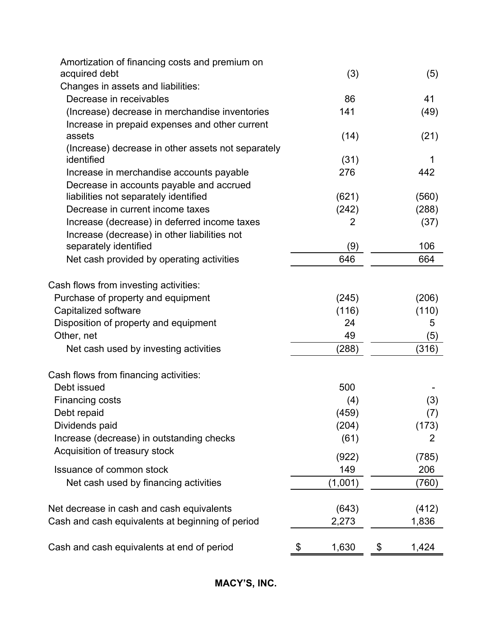| Amortization of financing costs and premium on                   |             |                |
|------------------------------------------------------------------|-------------|----------------|
| acquired debt                                                    | (3)         | (5)            |
| Changes in assets and liabilities:                               |             |                |
| Decrease in receivables                                          | 86          | 41             |
| (Increase) decrease in merchandise inventories                   | 141         | (49)           |
| Increase in prepaid expenses and other current<br>assets         |             |                |
|                                                                  | (14)        | (21)           |
| (Increase) decrease in other assets not separately<br>identified | (31)        |                |
| Increase in merchandise accounts payable                         | 276         | 442            |
| Decrease in accounts payable and accrued                         |             |                |
| liabilities not separately identified                            | (621)       | (560)          |
| Decrease in current income taxes                                 | (242)       | (288)          |
| Increase (decrease) in deferred income taxes                     | 2           | (37)           |
| Increase (decrease) in other liabilities not                     |             |                |
| separately identified                                            | (9)         | 106            |
| Net cash provided by operating activities                        | 646         | 664            |
| Cash flows from investing activities:                            |             |                |
| Purchase of property and equipment                               | (245)       | (206)          |
| Capitalized software                                             | (116)       | (110)          |
| Disposition of property and equipment                            | 24          | 5              |
| Other, net                                                       | 49          | (5)            |
| Net cash used by investing activities                            | (288)       | (316)          |
|                                                                  |             |                |
| Cash flows from financing activities:                            |             |                |
| Debt issued                                                      | 500         |                |
| Financing costs                                                  | (4)         | (3)            |
| Debt repaid                                                      | (459)       | (7)            |
| Dividends paid                                                   | (204)       | (173)          |
| Increase (decrease) in outstanding checks                        | (61)        | 2              |
| Acquisition of treasury stock                                    | (922)       | (785)          |
| <b>Issuance of common stock</b>                                  | 149         | 206            |
| Net cash used by financing activities                            | (1,001)     | (760)          |
| Net decrease in cash and cash equivalents                        | (643)       |                |
| Cash and cash equivalents at beginning of period                 | 2,273       | (412)<br>1,836 |
|                                                                  |             |                |
| Cash and cash equivalents at end of period                       | \$<br>1,630 | \$<br>1,424    |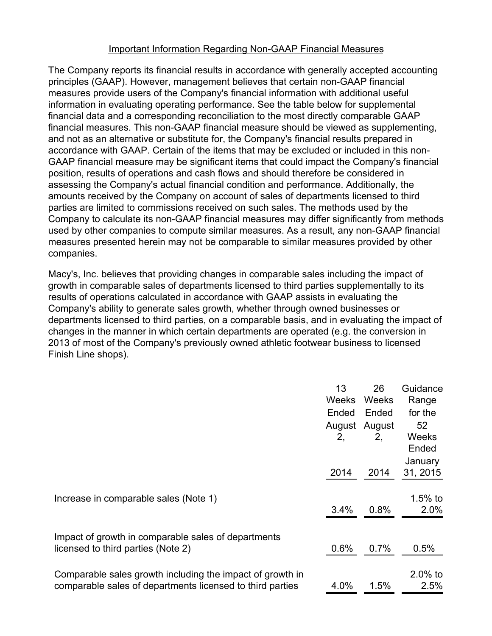#### Important Information Regarding Non-GAAP Financial Measures

The Company reports its financial results in accordance with generally accepted accounting principles (GAAP). However, management believes that certain non-GAAP financial measures provide users of the Company's financial information with additional useful information in evaluating operating performance. See the table below for supplemental financial data and a corresponding reconciliation to the most directly comparable GAAP financial measures. This non-GAAP financial measure should be viewed as supplementing, and not as an alternative or substitute for, the Company's financial results prepared in accordance with GAAP. Certain of the items that may be excluded or included in this non-GAAP financial measure may be significant items that could impact the Company's financial position, results of operations and cash flows and should therefore be considered in assessing the Company's actual financial condition and performance. Additionally, the amounts received by the Company on account of sales of departments licensed to third parties are limited to commissions received on such sales. The methods used by the Company to calculate its non-GAAP financial measures may differ significantly from methods used by other companies to compute similar measures. As a result, any non-GAAP financial measures presented herein may not be comparable to similar measures provided by other companies.

Macy's, Inc. believes that providing changes in comparable sales including the impact of growth in comparable sales of departments licensed to third parties supplementally to its results of operations calculated in accordance with GAAP assists in evaluating the Company's ability to generate sales growth, whether through owned businesses or departments licensed to third parties, on a comparable basis, and in evaluating the impact of changes in the manner in which certain departments are operated (e.g. the conversion in 2013 of most of the Company's previously owned athletic footwear business to licensed Finish Line shops).

|                                                                                           | 13     | 26     | Guidance       |
|-------------------------------------------------------------------------------------------|--------|--------|----------------|
|                                                                                           | Weeks  | Weeks  | Range          |
|                                                                                           | Ended  | Ended  | for the        |
|                                                                                           | August | August | 52             |
|                                                                                           | 2,     | 2,     | Weeks<br>Ended |
|                                                                                           |        |        | January        |
|                                                                                           | 2014   | 2014   | 31, 2015       |
| Increase in comparable sales (Note 1)                                                     |        |        | $1.5%$ to      |
|                                                                                           | 3.4%   | 0.8%   | $2.0\%$        |
|                                                                                           |        |        |                |
| Impact of growth in comparable sales of departments<br>licensed to third parties (Note 2) | 0.6%   | 0.7%   | 0.5%           |
| Comparable sales growth including the impact of growth in                                 |        |        | $2.0\%$ to     |
| comparable sales of departments licensed to third parties                                 | 4.0%   | 1.5%   | 2.5%           |